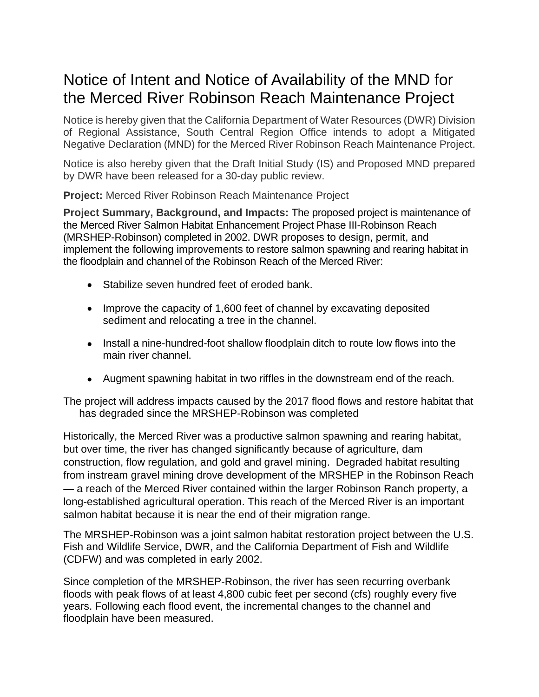## Notice of Intent and Notice of Availability of the MND for the Merced River Robinson Reach Maintenance Project

Notice is hereby given that the California Department of Water Resources (DWR) Division of Regional Assistance, South Central Region Office intends to adopt a Mitigated Negative Declaration (MND) for the Merced River Robinson Reach Maintenance Project.

Notice is also hereby given that the Draft Initial Study (IS) and Proposed MND prepared by DWR have been released for a 30-day public review.

**Project:** Merced River Robinson Reach Maintenance Project

**Project Summary, Background, and Impacts:** The proposed project is maintenance of the Merced River Salmon Habitat Enhancement Project Phase III-Robinson Reach (MRSHEP-Robinson) completed in 2002. DWR proposes to design, permit, and implement the following improvements to restore salmon spawning and rearing habitat in the floodplain and channel of the Robinson Reach of the Merced River:

- Stabilize seven hundred feet of eroded bank.
- Improve the capacity of 1,600 feet of channel by excavating deposited sediment and relocating a tree in the channel.
- Install a nine-hundred-foot shallow floodplain ditch to route low flows into the main river channel.
- Augment spawning habitat in two riffles in the downstream end of the reach.

The project will address impacts caused by the 2017 flood flows and restore habitat that has degraded since the MRSHEP-Robinson was completed

Historically, the Merced River was a productive salmon spawning and rearing habitat, but over time, the river has changed significantly because of agriculture, dam construction, flow regulation, and gold and gravel mining. Degraded habitat resulting from instream gravel mining drove development of the MRSHEP in the Robinson Reach — a reach of the Merced River contained within the larger Robinson Ranch property, a long-established agricultural operation. This reach of the Merced River is an important salmon habitat because it is near the end of their migration range.

The MRSHEP-Robinson was a joint salmon habitat restoration project between the U.S. Fish and Wildlife Service, DWR, and the California Department of Fish and Wildlife (CDFW) and was completed in early 2002.

Since completion of the MRSHEP-Robinson, the river has seen recurring overbank floods with peak flows of at least 4,800 cubic feet per second (cfs) roughly every five years. Following each flood event, the incremental changes to the channel and floodplain have been measured.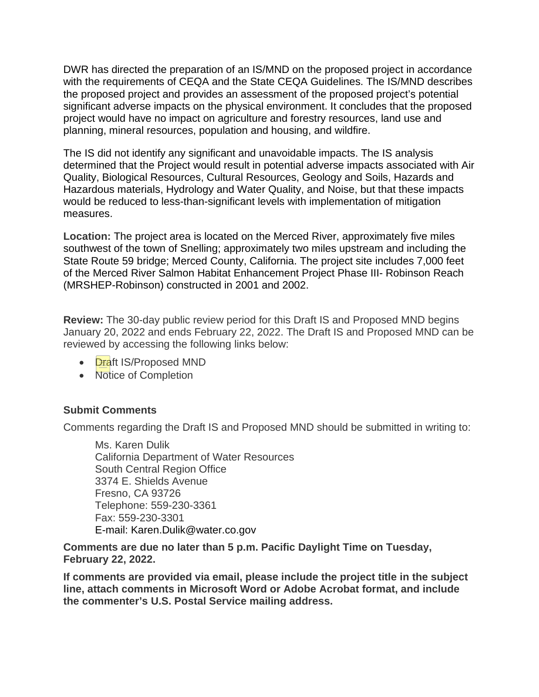DWR has directed the preparation of an IS/MND on the proposed project in accordance with the requirements of CEQA and the State CEQA Guidelines. The IS/MND describes the proposed project and provides an assessment of the proposed project's potential significant adverse impacts on the physical environment. It concludes that the proposed project would have no impact on agriculture and forestry resources, land use and planning, mineral resources, population and housing, and wildfire.

The IS did not identify any significant and unavoidable impacts. The IS analysis determined that the Project would result in potential adverse impacts associated with Air Quality, Biological Resources, Cultural Resources, Geology and Soils, Hazards and Hazardous materials, Hydrology and Water Quality, and Noise, but that these impacts would be reduced to less-than-significant levels with implementation of mitigation measures.

**Location:** The project area is located on the Merced River, approximately five miles southwest of the town of Snelling; approximately two miles upstream and including the State Route 59 bridge; Merced County, California. The project site includes 7,000 feet of the Merced River Salmon Habitat Enhancement Project Phase III- Robinson Reach (MRSHEP-Robinson) constructed in 2001 and 2002.

**Review:** The 30-day public review period for this Draft IS and Proposed MND begins January 20, 2022 and ends February 22, 2022. The Draft IS and Proposed MND can be reviewed by accessing the following links below:

- **Draft IS/Proposed MND**
- Notice of Completion

## **Submit Comments**

Comments regarding the Draft IS and Proposed MND should be submitted in writing to:

Ms. Karen Dulik California Department of Water Resources South Central Region Office 3374 E. Shields Avenue Fresno, CA 93726 Telephone: 559-230-3361 Fax: 559-230-3301 E-mail: [Karen.Dulik@water.co.gov](mailto:Karen.Dulik@water.co.gov)

**Comments are due no later than 5 p.m. Pacific Daylight Time on Tuesday, February 22, 2022.**

**If comments are provided via email, please include the project title in the subject line, attach comments in Microsoft Word or Adobe Acrobat format, and include the commenter's U.S. Postal Service mailing address.**